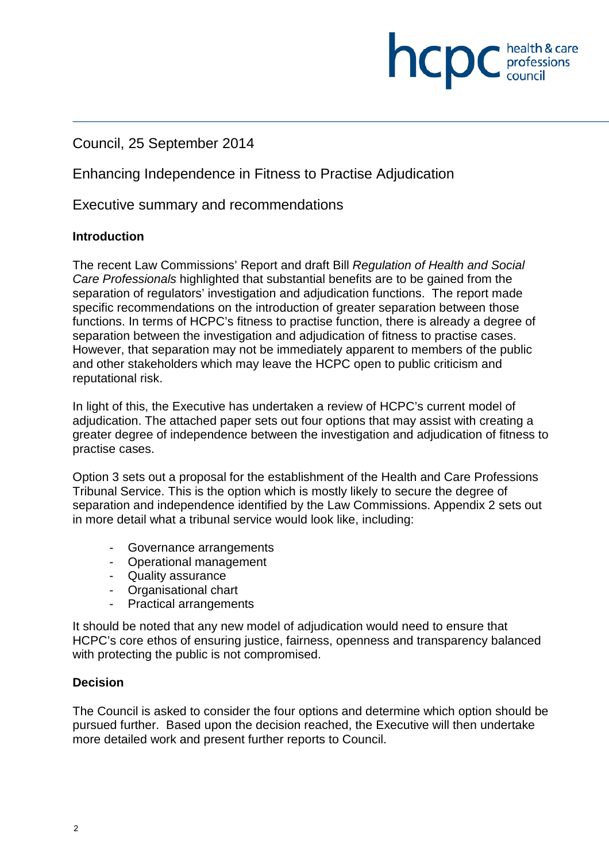## Council, 25 September 2014

Enhancing Independence in Fitness to Practise Adjudication

Executive summary and recommendations

#### **Introduction**

The recent Law Commissions' Report and draft Bill *Regulation of Health and Social Care Professionals* highlighted that substantial benefits are to be gained from the separation of regulators' investigation and adjudication functions. The report made specific recommendations on the introduction of greater separation between those functions. In terms of HCPC's fitness to practise function, there is already a degree of separation between the investigation and adjudication of fitness to practise cases. However, that separation may not be immediately apparent to members of the public and other stakeholders which may leave the HCPC open to public criticism and reputational risk.

**INCDC** *c health & care* 

health & care

In light of this, the Executive has undertaken a review of HCPC's current model of adjudication. The attached paper sets out four options that may assist with creating a greater degree of independence between the investigation and adjudication of fitness to practise cases.

Option 3 sets out a proposal for the establishment of the Health and Care Professions Tribunal Service. This is the option which is mostly likely to secure the degree of separation and independence identified by the Law Commissions. Appendix 2 sets out in more detail what a tribunal service would look like, including:

- Governance arrangements
- Operational management
- Quality assurance
- Organisational chart
- Practical arrangements

It should be noted that any new model of adjudication would need to ensure that HCPC's core ethos of ensuring justice, fairness, openness and transparency balanced with protecting the public is not compromised.

#### **Decision**

The Council is asked to consider the four options and determine which option should be pursued further. Based upon the decision reached, the Executive will then undertake more detailed work and present further reports to Council.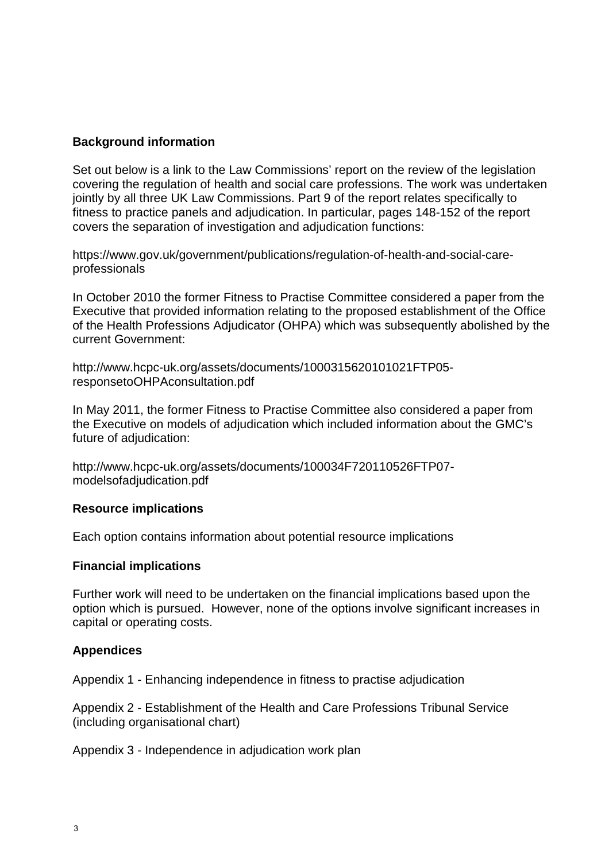#### **Background information**

Set out below is a link to the Law Commissions' report on the review of the legislation covering the regulation of health and social care professions. The work was undertaken jointly by all three UK Law Commissions. Part 9 of the report relates specifically to fitness to practice panels and adjudication. In particular, pages 148-152 of the report covers the separation of investigation and adjudication functions:

https://www.gov.uk/government/publications/regulation-of-health-and-social-careprofessionals

In October 2010 the former Fitness to Practise Committee considered a paper from the Executive that provided information relating to the proposed establishment of the Office of the Health Professions Adjudicator (OHPA) which was subsequently abolished by the current Government:

http://www.hcpc-uk.org/assets/documents/1000315620101021FTP05 responsetoOHPAconsultation.pdf

In May 2011, the former Fitness to Practise Committee also considered a paper from the Executive on models of adjudication which included information about the GMC's future of adjudication:

http://www.hcpc-uk.org/assets/documents/100034F720110526FTP07 modelsofadjudication.pdf

#### **Resource implications**

Each option contains information about potential resource implications

#### **Financial implications**

Further work will need to be undertaken on the financial implications based upon the option which is pursued. However, none of the options involve significant increases in capital or operating costs.

#### **Appendices**

Appendix 1 - Enhancing independence in fitness to practise adjudication

Appendix 2 - Establishment of the Health and Care Professions Tribunal Service (including organisational chart)

Appendix 3 - Independence in adjudication work plan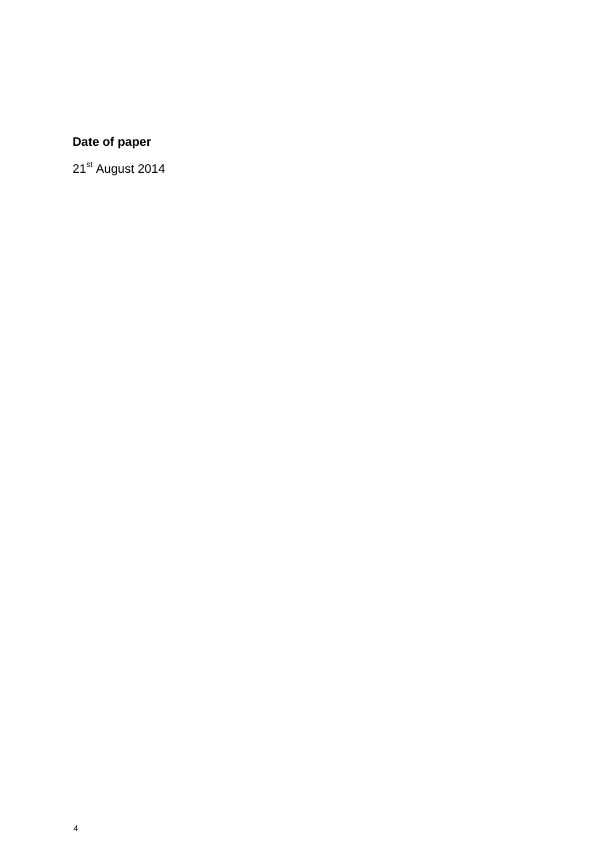# **Date of paper**

21<sup>st</sup> August 2014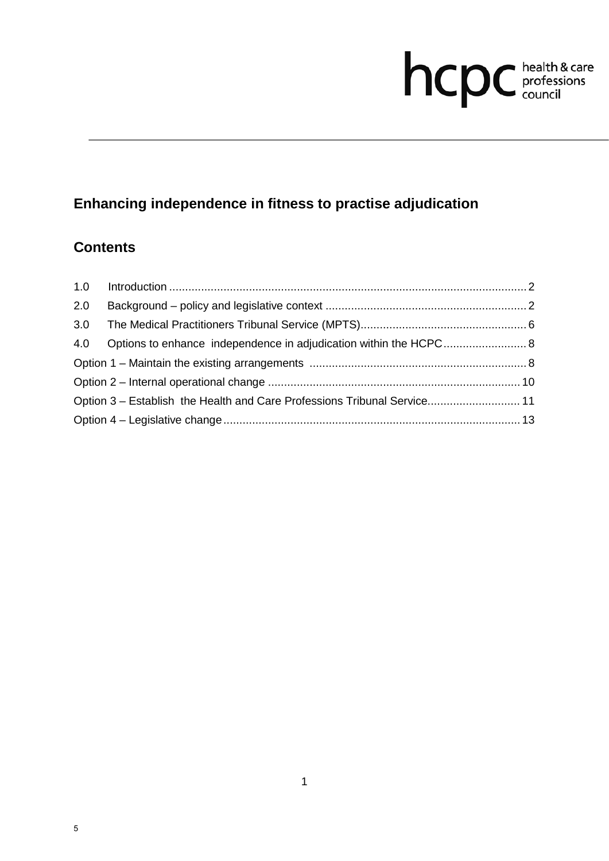# hcpc health & care

# **Enhancing independence in fitness to practise adjudication**

# **Contents**

| 2.0 |                                                                          |  |
|-----|--------------------------------------------------------------------------|--|
| 3.0 |                                                                          |  |
|     | 4.0 Options to enhance independence in adjudication within the HCPC 8    |  |
|     |                                                                          |  |
|     |                                                                          |  |
|     | Option 3 – Establish the Health and Care Professions Tribunal Service 11 |  |
|     |                                                                          |  |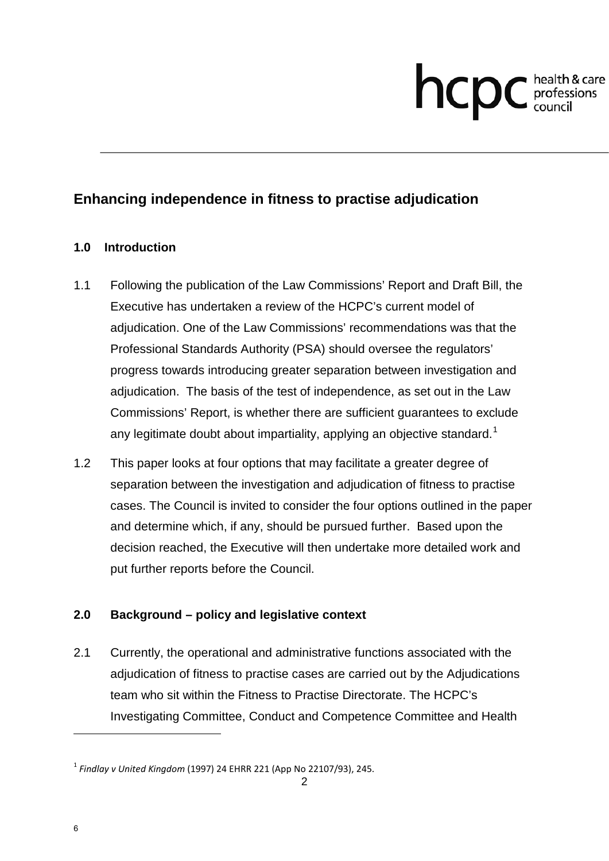# **health & care**

## **Enhancing independence in fitness to practise adjudication**

#### **1.0 Introduction**

- 1.1 Following the publication of the Law Commissions' Report and Draft Bill, the Executive has undertaken a review of the HCPC's current model of adjudication. One of the Law Commissions' recommendations was that the Professional Standards Authority (PSA) should oversee the regulators' progress towards introducing greater separation between investigation and adjudication. The basis of the test of independence, as set out in the Law Commissions' Report, is whether there are sufficient guarantees to exclude any legitimate doubt about impartiality, applying an objective standard.<sup>1</sup>
- 1.2 This paper looks at four options that may facilitate a greater degree of separation between the investigation and adjudication of fitness to practise cases. The Council is invited to consider the four options outlined in the paper and determine which, if any, should be pursued further. Based upon the decision reached, the Executive will then undertake more detailed work and put further reports before the Council.

#### **2.0 Background – policy and legislative context**

2.1 Currently, the operational and administrative functions associated with the adjudication of fitness to practise cases are carried out by the Adjudications team who sit within the Fitness to Practise Directorate. The HCPC's Investigating Committee, Conduct and Competence Committee and Health

 $\overline{a}$ 

<sup>1</sup> *Findlay v United Kingdom* (1997) 24 EHRR 221 (App No 22107/93), 245.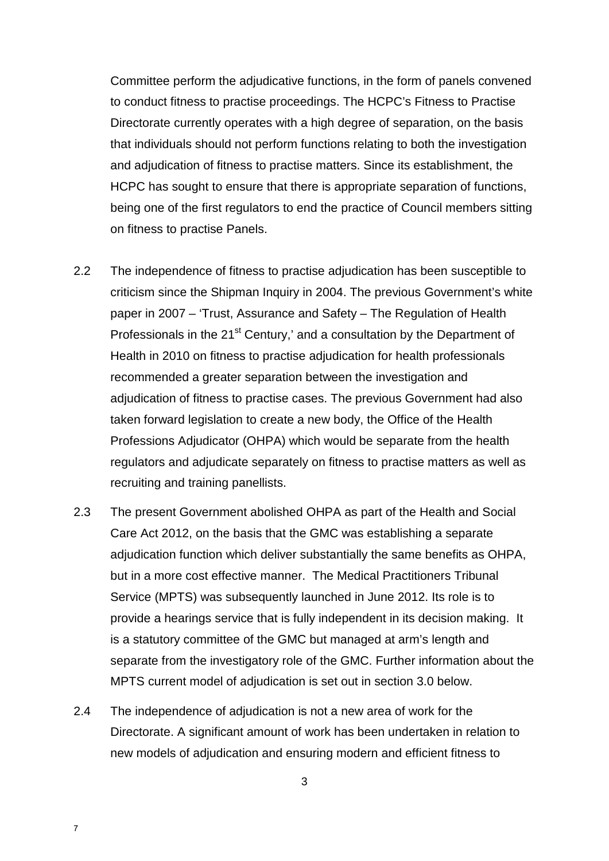Committee perform the adjudicative functions, in the form of panels convened to conduct fitness to practise proceedings. The HCPC's Fitness to Practise Directorate currently operates with a high degree of separation, on the basis that individuals should not perform functions relating to both the investigation and adjudication of fitness to practise matters. Since its establishment, the HCPC has sought to ensure that there is appropriate separation of functions, being one of the first regulators to end the practice of Council members sitting on fitness to practise Panels.

- 2.2 The independence of fitness to practise adjudication has been susceptible to criticism since the Shipman Inquiry in 2004. The previous Government's white paper in 2007 – 'Trust, Assurance and Safety – The Regulation of Health Professionals in the 21<sup>st</sup> Century,' and a consultation by the Department of Health in 2010 on fitness to practise adjudication for health professionals recommended a greater separation between the investigation and adjudication of fitness to practise cases. The previous Government had also taken forward legislation to create a new body, the Office of the Health Professions Adjudicator (OHPA) which would be separate from the health regulators and adjudicate separately on fitness to practise matters as well as recruiting and training panellists.
- 2.3 The present Government abolished OHPA as part of the Health and Social Care Act 2012, on the basis that the GMC was establishing a separate adjudication function which deliver substantially the same benefits as OHPA, but in a more cost effective manner. The Medical Practitioners Tribunal Service (MPTS) was subsequently launched in June 2012. Its role is to provide a hearings service that is fully independent in its decision making. It is a statutory committee of the GMC but managed at arm's length and separate from the investigatory role of the GMC. Further information about the MPTS current model of adjudication is set out in section 3.0 below.
- 2.4 The independence of adjudication is not a new area of work for the Directorate. A significant amount of work has been undertaken in relation to new models of adjudication and ensuring modern and efficient fitness to

7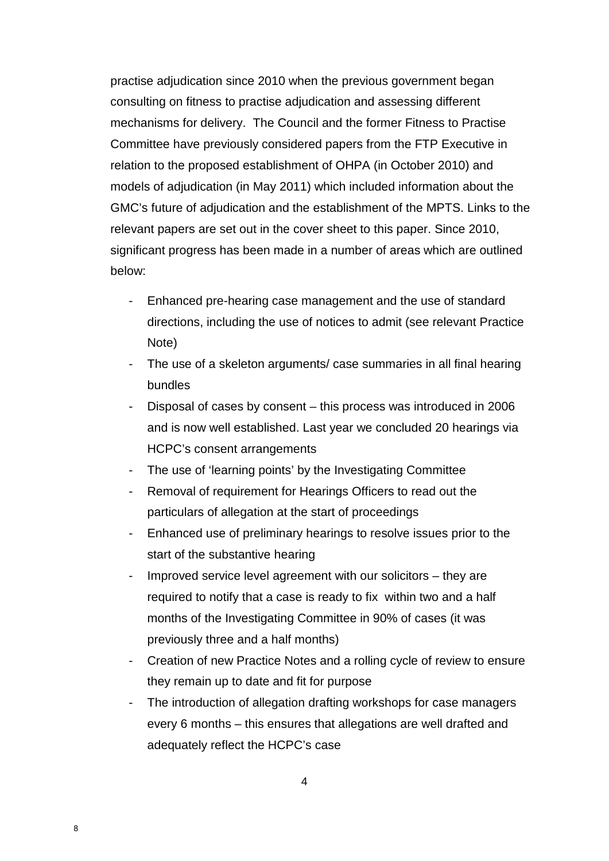practise adjudication since 2010 when the previous government began consulting on fitness to practise adjudication and assessing different mechanisms for delivery. The Council and the former Fitness to Practise Committee have previously considered papers from the FTP Executive in relation to the proposed establishment of OHPA (in October 2010) and models of adjudication (in May 2011) which included information about the GMC's future of adjudication and the establishment of the MPTS. Links to the relevant papers are set out in the cover sheet to this paper. Since 2010, significant progress has been made in a number of areas which are outlined below:

- Enhanced pre-hearing case management and the use of standard directions, including the use of notices to admit (see relevant Practice Note)
- The use of a skeleton arguments/ case summaries in all final hearing bundles
- Disposal of cases by consent this process was introduced in 2006 and is now well established. Last year we concluded 20 hearings via HCPC's consent arrangements
- The use of 'learning points' by the Investigating Committee
- Removal of requirement for Hearings Officers to read out the particulars of allegation at the start of proceedings
- Enhanced use of preliminary hearings to resolve issues prior to the start of the substantive hearing
- Improved service level agreement with our solicitors  $-$  they are required to notify that a case is ready to fix within two and a half months of the Investigating Committee in 90% of cases (it was previously three and a half months)
- Creation of new Practice Notes and a rolling cycle of review to ensure they remain up to date and fit for purpose
- The introduction of allegation drafting workshops for case managers every 6 months – this ensures that allegations are well drafted and adequately reflect the HCPC's case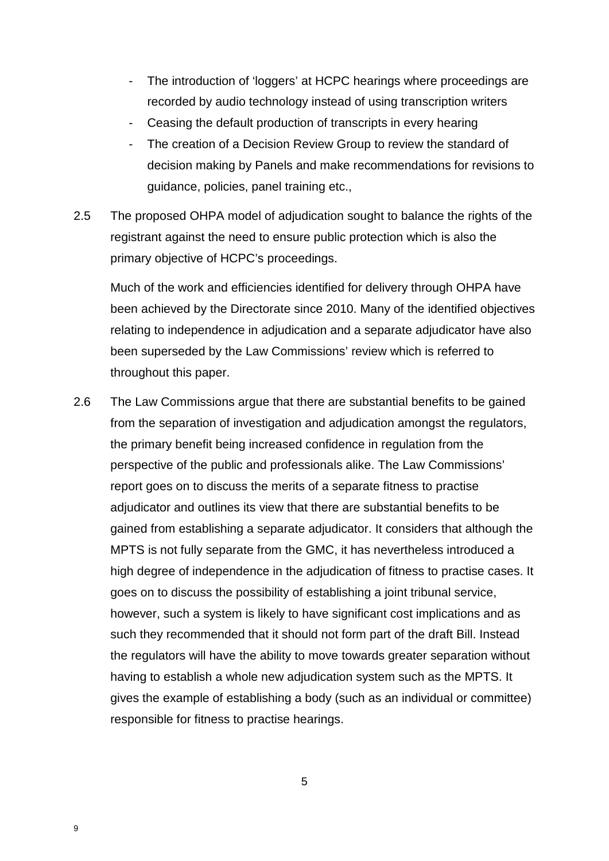- The introduction of 'loggers' at HCPC hearings where proceedings are recorded by audio technology instead of using transcription writers
- Ceasing the default production of transcripts in every hearing
- The creation of a Decision Review Group to review the standard of decision making by Panels and make recommendations for revisions to guidance, policies, panel training etc.,
- 2.5 The proposed OHPA model of adjudication sought to balance the rights of the registrant against the need to ensure public protection which is also the primary objective of HCPC's proceedings.

Much of the work and efficiencies identified for delivery through OHPA have been achieved by the Directorate since 2010. Many of the identified objectives relating to independence in adjudication and a separate adjudicator have also been superseded by the Law Commissions' review which is referred to throughout this paper.

2.6 The Law Commissions argue that there are substantial benefits to be gained from the separation of investigation and adjudication amongst the regulators, the primary benefit being increased confidence in regulation from the perspective of the public and professionals alike. The Law Commissions' report goes on to discuss the merits of a separate fitness to practise adjudicator and outlines its view that there are substantial benefits to be gained from establishing a separate adjudicator. It considers that although the MPTS is not fully separate from the GMC, it has nevertheless introduced a high degree of independence in the adjudication of fitness to practise cases. It goes on to discuss the possibility of establishing a joint tribunal service, however, such a system is likely to have significant cost implications and as such they recommended that it should not form part of the draft Bill. Instead the regulators will have the ability to move towards greater separation without having to establish a whole new adjudication system such as the MPTS. It gives the example of establishing a body (such as an individual or committee) responsible for fitness to practise hearings.

5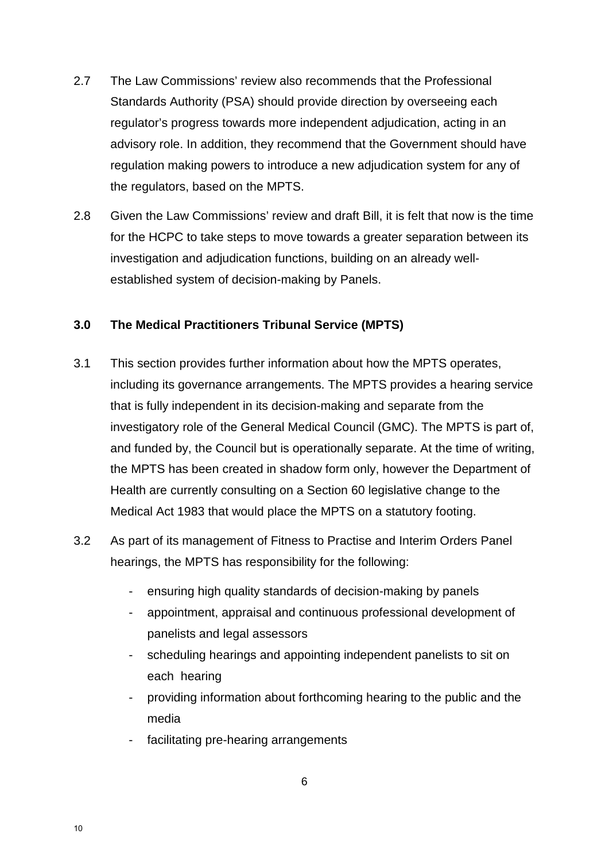- 2.7 The Law Commissions' review also recommends that the Professional Standards Authority (PSA) should provide direction by overseeing each regulator's progress towards more independent adjudication, acting in an advisory role. In addition, they recommend that the Government should have regulation making powers to introduce a new adjudication system for any of the regulators, based on the MPTS.
- 2.8 Given the Law Commissions' review and draft Bill, it is felt that now is the time for the HCPC to take steps to move towards a greater separation between its investigation and adjudication functions, building on an already wellestablished system of decision-making by Panels.

#### **3.0 The Medical Practitioners Tribunal Service (MPTS)**

- 3.1 This section provides further information about how the MPTS operates, including its governance arrangements. The MPTS provides a hearing service that is fully independent in its decision-making and separate from the investigatory role of the General Medical Council (GMC). The MPTS is part of, and funded by, the Council but is operationally separate. At the time of writing, the MPTS has been created in shadow form only, however the Department of Health are currently consulting on a Section 60 legislative change to the Medical Act 1983 that would place the MPTS on a statutory footing.
- 3.2 As part of its management of Fitness to Practise and Interim Orders Panel hearings, the MPTS has responsibility for the following:
	- ensuring high quality standards of decision-making by panels
	- appointment, appraisal and continuous professional development of panelists and legal assessors
	- scheduling hearings and appointing independent panelists to sit on each hearing
	- providing information about forthcoming hearing to the public and the media
	- facilitating pre-hearing arrangements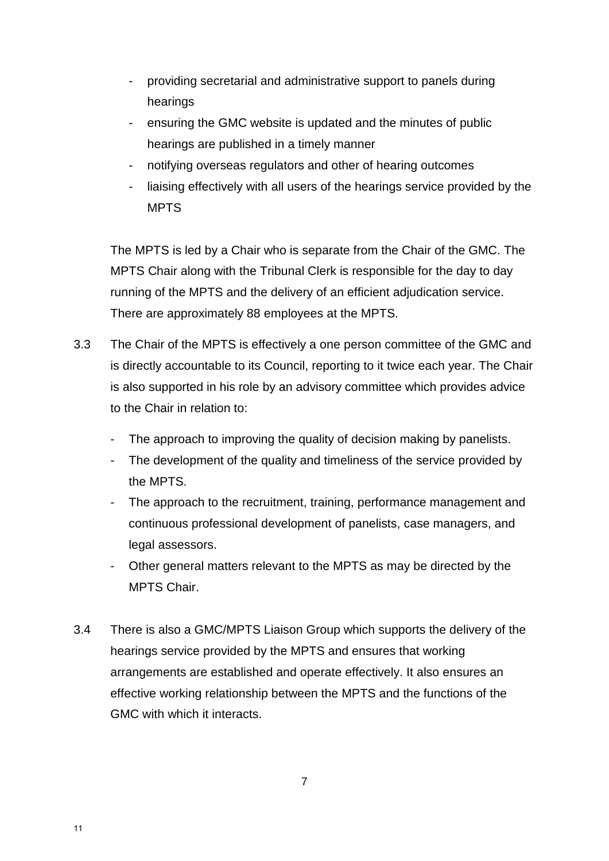- providing secretarial and administrative support to panels during hearings
- ensuring the GMC website is updated and the minutes of public hearings are published in a timely manner
- notifying overseas regulators and other of hearing outcomes
- liaising effectively with all users of the hearings service provided by the MPTS

The MPTS is led by a Chair who is separate from the Chair of the GMC. The MPTS Chair along with the Tribunal Clerk is responsible for the day to day running of the MPTS and the delivery of an efficient adjudication service. There are approximately 88 employees at the MPTS.

- 3.3 The Chair of the MPTS is effectively a one person committee of the GMC and is directly accountable to its Council, reporting to it twice each year. The Chair is also supported in his role by an advisory committee which provides advice to the Chair in relation to:
	- The approach to improving the quality of decision making by panelists.
	- The development of the quality and timeliness of the service provided by the MPTS.
	- The approach to the recruitment, training, performance management and continuous professional development of panelists, case managers, and legal assessors.
	- Other general matters relevant to the MPTS as may be directed by the MPTS Chair.
- 3.4 There is also a GMC/MPTS Liaison Group which supports the delivery of the hearings service provided by the MPTS and ensures that working arrangements are established and operate effectively. It also ensures an effective working relationship between the MPTS and the functions of the GMC with which it interacts.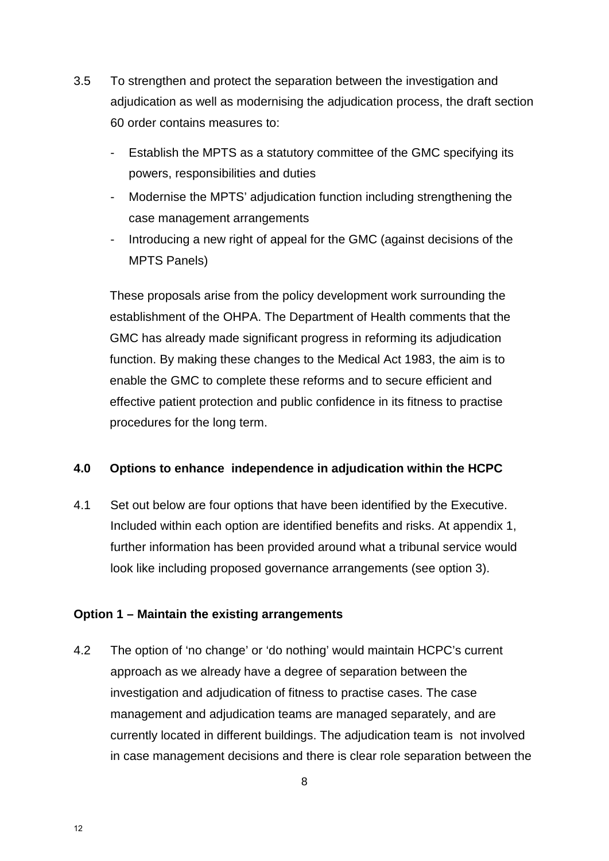- 3.5 To strengthen and protect the separation between the investigation and adjudication as well as modernising the adjudication process, the draft section 60 order contains measures to:
	- Establish the MPTS as a statutory committee of the GMC specifying its powers, responsibilities and duties
	- Modernise the MPTS' adjudication function including strengthening the case management arrangements
	- Introducing a new right of appeal for the GMC (against decisions of the MPTS Panels)

These proposals arise from the policy development work surrounding the establishment of the OHPA. The Department of Health comments that the GMC has already made significant progress in reforming its adjudication function. By making these changes to the Medical Act 1983, the aim is to enable the GMC to complete these reforms and to secure efficient and effective patient protection and public confidence in its fitness to practise procedures for the long term.

#### **4.0 Options to enhance independence in adjudication within the HCPC**

4.1 Set out below are four options that have been identified by the Executive. Included within each option are identified benefits and risks. At appendix 1, further information has been provided around what a tribunal service would look like including proposed governance arrangements (see option 3).

#### **Option 1 – Maintain the existing arrangements**

4.2 The option of 'no change' or 'do nothing' would maintain HCPC's current approach as we already have a degree of separation between the investigation and adjudication of fitness to practise cases. The case management and adjudication teams are managed separately, and are currently located in different buildings. The adjudication team is not involved in case management decisions and there is clear role separation between the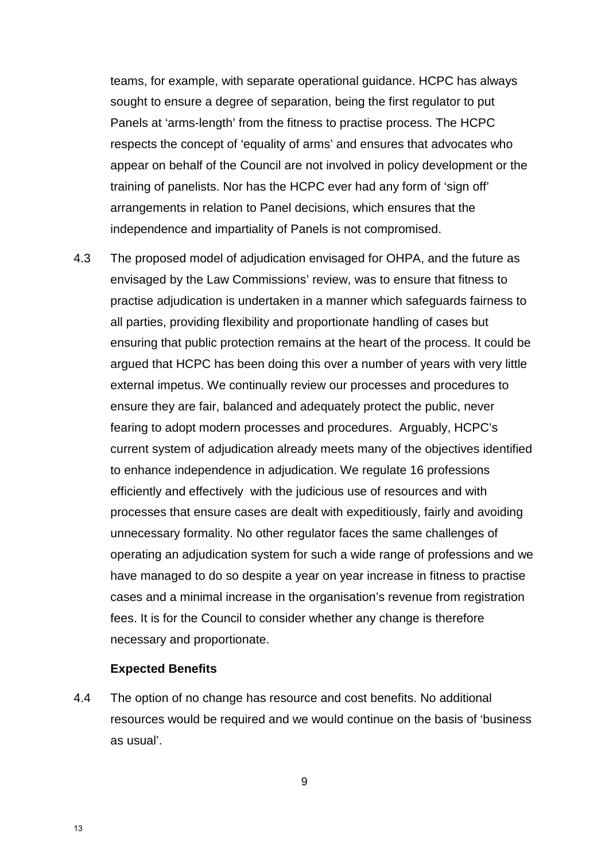teams, for example, with separate operational guidance. HCPC has always sought to ensure a degree of separation, being the first regulator to put Panels at 'arms-length' from the fitness to practise process. The HCPC respects the concept of 'equality of arms' and ensures that advocates who appear on behalf of the Council are not involved in policy development or the training of panelists. Nor has the HCPC ever had any form of 'sign off' arrangements in relation to Panel decisions, which ensures that the independence and impartiality of Panels is not compromised.

4.3 The proposed model of adjudication envisaged for OHPA, and the future as envisaged by the Law Commissions' review, was to ensure that fitness to practise adjudication is undertaken in a manner which safeguards fairness to all parties, providing flexibility and proportionate handling of cases but ensuring that public protection remains at the heart of the process. It could be argued that HCPC has been doing this over a number of years with very little external impetus. We continually review our processes and procedures to ensure they are fair, balanced and adequately protect the public, never fearing to adopt modern processes and procedures. Arguably, HCPC's current system of adjudication already meets many of the objectives identified to enhance independence in adjudication. We regulate 16 professions efficiently and effectively with the judicious use of resources and with processes that ensure cases are dealt with expeditiously, fairly and avoiding unnecessary formality. No other regulator faces the same challenges of operating an adjudication system for such a wide range of professions and we have managed to do so despite a year on year increase in fitness to practise cases and a minimal increase in the organisation's revenue from registration fees. It is for the Council to consider whether any change is therefore necessary and proportionate.

#### **Expected Benefits**

4.4 The option of no change has resource and cost benefits. No additional resources would be required and we would continue on the basis of 'business as usual'.

9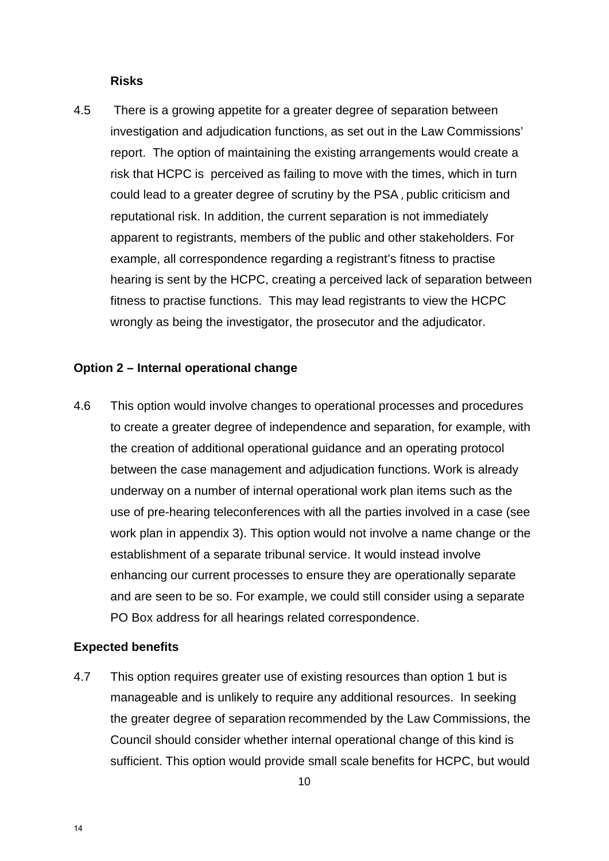#### **Risks**

4.5 There is a growing appetite for a greater degree of separation between investigation and adjudication functions, as set out in the Law Commissions' report. The option of maintaining the existing arrangements would create a risk that HCPC is perceived as failing to move with the times, which in turn could lead to a greater degree of scrutiny by the PSA , public criticism and reputational risk. In addition, the current separation is not immediately apparent to registrants, members of the public and other stakeholders. For example, all correspondence regarding a registrant's fitness to practise hearing is sent by the HCPC, creating a perceived lack of separation between fitness to practise functions. This may lead registrants to view the HCPC wrongly as being the investigator, the prosecutor and the adjudicator.

#### **Option 2 – Internal operational change**

4.6 This option would involve changes to operational processes and procedures to create a greater degree of independence and separation, for example, with the creation of additional operational guidance and an operating protocol between the case management and adjudication functions. Work is already underway on a number of internal operational work plan items such as the use of pre-hearing teleconferences with all the parties involved in a case (see work plan in appendix 3). This option would not involve a name change or the establishment of a separate tribunal service. It would instead involve enhancing our current processes to ensure they are operationally separate and are seen to be so. For example, we could still consider using a separate PO Box address for all hearings related correspondence.

#### **Expected benefits**

4.7 This option requires greater use of existing resources than option 1 but is manageable and is unlikely to require any additional resources. In seeking the greater degree of separation recommended by the Law Commissions, the Council should consider whether internal operational change of this kind is sufficient. This option would provide small scale benefits for HCPC, but would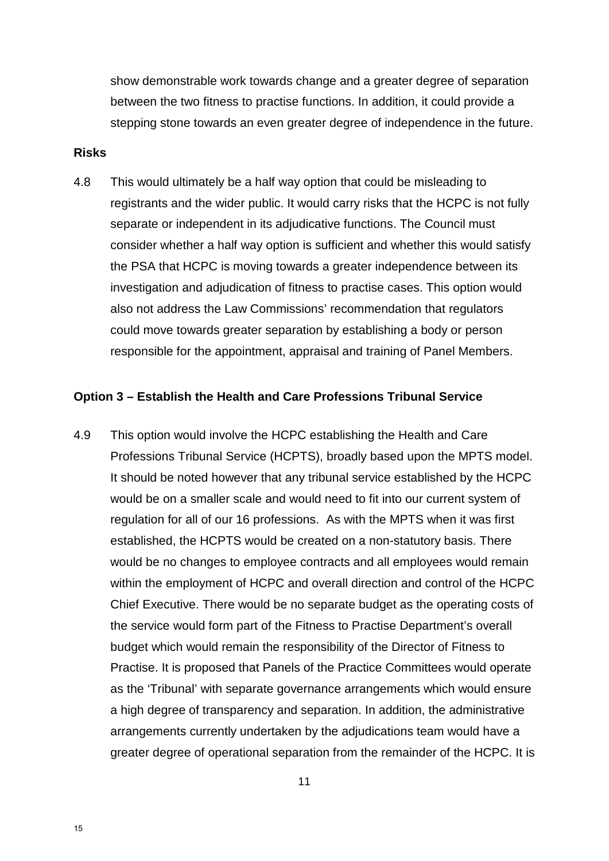show demonstrable work towards change and a greater degree of separation between the two fitness to practise functions. In addition, it could provide a stepping stone towards an even greater degree of independence in the future.

#### **Risks**

4.8 This would ultimately be a half way option that could be misleading to registrants and the wider public. It would carry risks that the HCPC is not fully separate or independent in its adjudicative functions. The Council must consider whether a half way option is sufficient and whether this would satisfy the PSA that HCPC is moving towards a greater independence between its investigation and adjudication of fitness to practise cases. This option would also not address the Law Commissions' recommendation that regulators could move towards greater separation by establishing a body or person responsible for the appointment, appraisal and training of Panel Members.

#### **Option 3 – Establish the Health and Care Professions Tribunal Service**

4.9 This option would involve the HCPC establishing the Health and Care Professions Tribunal Service (HCPTS), broadly based upon the MPTS model. It should be noted however that any tribunal service established by the HCPC would be on a smaller scale and would need to fit into our current system of regulation for all of our 16 professions. As with the MPTS when it was first established, the HCPTS would be created on a non-statutory basis. There would be no changes to employee contracts and all employees would remain within the employment of HCPC and overall direction and control of the HCPC Chief Executive. There would be no separate budget as the operating costs of the service would form part of the Fitness to Practise Department's overall budget which would remain the responsibility of the Director of Fitness to Practise. It is proposed that Panels of the Practice Committees would operate as the 'Tribunal' with separate governance arrangements which would ensure a high degree of transparency and separation. In addition, the administrative arrangements currently undertaken by the adjudications team would have a greater degree of operational separation from the remainder of the HCPC. It is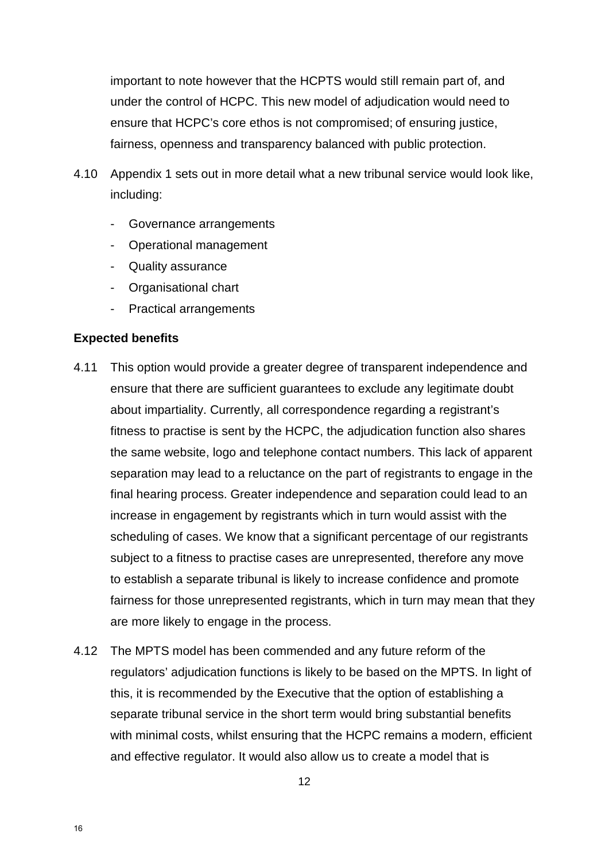important to note however that the HCPTS would still remain part of, and under the control of HCPC. This new model of adjudication would need to ensure that HCPC's core ethos is not compromised; of ensuring justice, fairness, openness and transparency balanced with public protection.

- 4.10 Appendix 1 sets out in more detail what a new tribunal service would look like, including:
	- Governance arrangements
	- Operational management
	- Quality assurance
	- Organisational chart
	- Practical arrangements

#### **Expected benefits**

- 4.11 This option would provide a greater degree of transparent independence and ensure that there are sufficient guarantees to exclude any legitimate doubt about impartiality. Currently, all correspondence regarding a registrant's fitness to practise is sent by the HCPC, the adjudication function also shares the same website, logo and telephone contact numbers. This lack of apparent separation may lead to a reluctance on the part of registrants to engage in the final hearing process. Greater independence and separation could lead to an increase in engagement by registrants which in turn would assist with the scheduling of cases. We know that a significant percentage of our registrants subject to a fitness to practise cases are unrepresented, therefore any move to establish a separate tribunal is likely to increase confidence and promote fairness for those unrepresented registrants, which in turn may mean that they are more likely to engage in the process.
- 4.12 The MPTS model has been commended and any future reform of the regulators' adjudication functions is likely to be based on the MPTS. In light of this, it is recommended by the Executive that the option of establishing a separate tribunal service in the short term would bring substantial benefits with minimal costs, whilst ensuring that the HCPC remains a modern, efficient and effective regulator. It would also allow us to create a model that is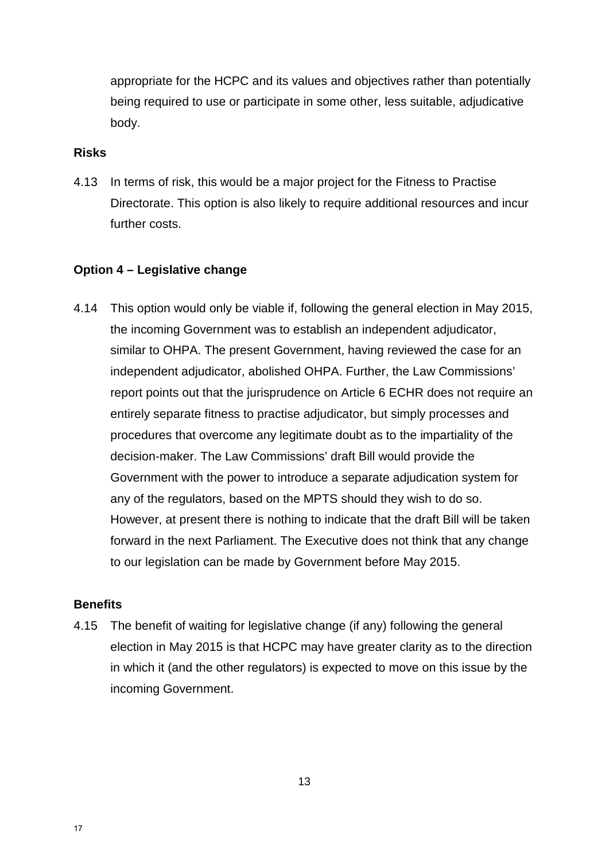appropriate for the HCPC and its values and objectives rather than potentially being required to use or participate in some other, less suitable, adjudicative body.

#### **Risks**

4.13 In terms of risk, this would be a major project for the Fitness to Practise Directorate. This option is also likely to require additional resources and incur further costs.

#### **Option 4 – Legislative change**

4.14 This option would only be viable if, following the general election in May 2015, the incoming Government was to establish an independent adjudicator, similar to OHPA. The present Government, having reviewed the case for an independent adjudicator, abolished OHPA. Further, the Law Commissions' report points out that the jurisprudence on Article 6 ECHR does not require an entirely separate fitness to practise adjudicator, but simply processes and procedures that overcome any legitimate doubt as to the impartiality of the decision-maker. The Law Commissions' draft Bill would provide the Government with the power to introduce a separate adjudication system for any of the regulators, based on the MPTS should they wish to do so. However, at present there is nothing to indicate that the draft Bill will be taken forward in the next Parliament. The Executive does not think that any change to our legislation can be made by Government before May 2015.

#### **Benefits**

4.15 The benefit of waiting for legislative change (if any) following the general election in May 2015 is that HCPC may have greater clarity as to the direction in which it (and the other regulators) is expected to move on this issue by the incoming Government.

13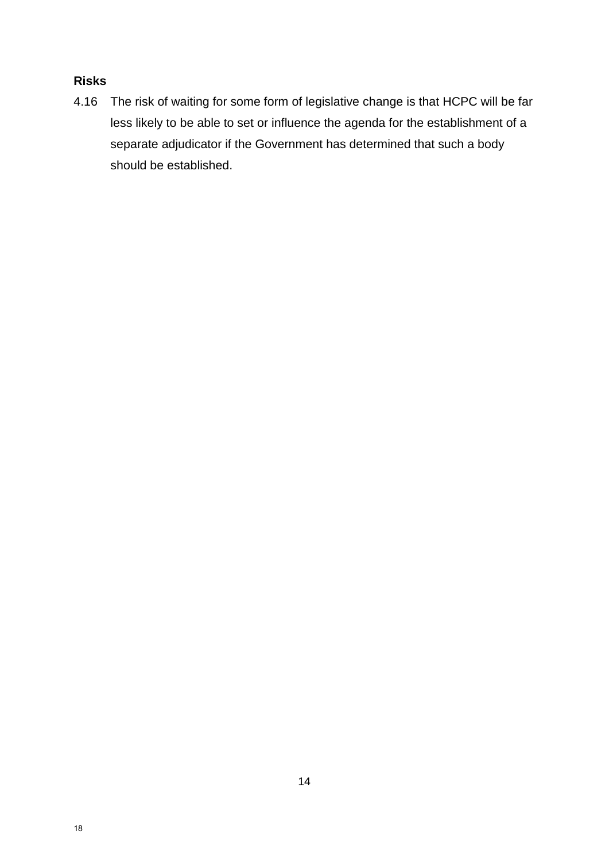### **Risks**

4.16 The risk of waiting for some form of legislative change is that HCPC will be far less likely to be able to set or influence the agenda for the establishment of a separate adjudicator if the Government has determined that such a body should be established.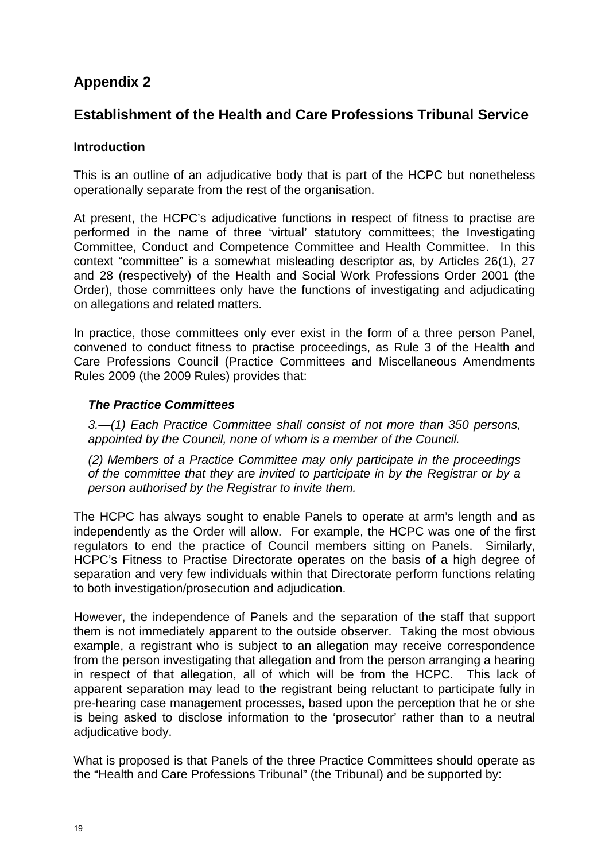## **Appendix 2**

## **Establishment of the Health and Care Professions Tribunal Service**

#### **Introduction**

This is an outline of an adjudicative body that is part of the HCPC but nonetheless operationally separate from the rest of the organisation.

At present, the HCPC's adjudicative functions in respect of fitness to practise are performed in the name of three 'virtual' statutory committees; the Investigating Committee, Conduct and Competence Committee and Health Committee. In this context "committee" is a somewhat misleading descriptor as, by Articles 26(1), 27 and 28 (respectively) of the Health and Social Work Professions Order 2001 (the Order), those committees only have the functions of investigating and adjudicating on allegations and related matters.

In practice, those committees only ever exist in the form of a three person Panel, convened to conduct fitness to practise proceedings, as Rule 3 of the Health and Care Professions Council (Practice Committees and Miscellaneous Amendments Rules 2009 (the 2009 Rules) provides that:

#### *The Practice Committees*

*3.—(1) Each Practice Committee shall consist of not more than 350 persons, appointed by the Council, none of whom is a member of the Council.*

*(2) Members of a Practice Committee may only participate in the proceedings of the committee that they are invited to participate in by the Registrar or by a person authorised by the Registrar to invite them.*

The HCPC has always sought to enable Panels to operate at arm's length and as independently as the Order will allow. For example, the HCPC was one of the first regulators to end the practice of Council members sitting on Panels. Similarly, HCPC's Fitness to Practise Directorate operates on the basis of a high degree of separation and very few individuals within that Directorate perform functions relating to both investigation/prosecution and adjudication.

However, the independence of Panels and the separation of the staff that support them is not immediately apparent to the outside observer. Taking the most obvious example, a registrant who is subject to an allegation may receive correspondence from the person investigating that allegation and from the person arranging a hearing in respect of that allegation, all of which will be from the HCPC. This lack of apparent separation may lead to the registrant being reluctant to participate fully in pre-hearing case management processes, based upon the perception that he or she is being asked to disclose information to the 'prosecutor' rather than to a neutral adjudicative body.

What is proposed is that Panels of the three Practice Committees should operate as the "Health and Care Professions Tribunal" (the Tribunal) and be supported by: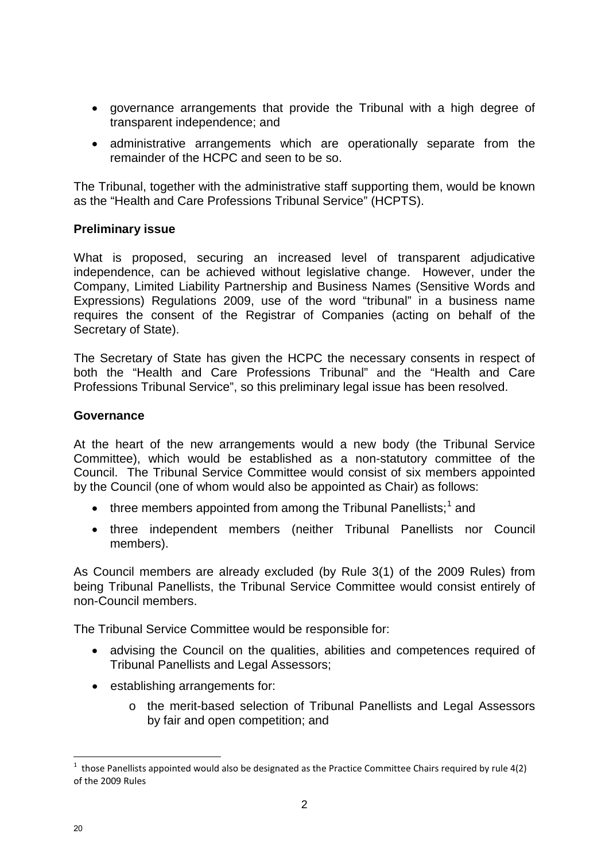- governance arrangements that provide the Tribunal with a high degree of transparent independence; and
- administrative arrangements which are operationally separate from the remainder of the HCPC and seen to be so.

The Tribunal, together with the administrative staff supporting them, would be known as the "Health and Care Professions Tribunal Service" (HCPTS).

#### **Preliminary issue**

What is proposed, securing an increased level of transparent adjudicative independence, can be achieved without legislative change. However, under the Company, Limited Liability Partnership and Business Names (Sensitive Words and Expressions) Regulations 2009, use of the word "tribunal" in a business name requires the consent of the Registrar of Companies (acting on behalf of the Secretary of State).

The Secretary of State has given the HCPC the necessary consents in respect of both the "Health and Care Professions Tribunal" and the "Health and Care Professions Tribunal Service", so this preliminary legal issue has been resolved.

#### **Governance**

At the heart of the new arrangements would a new body (the Tribunal Service Committee), which would be established as a non-statutory committee of the Council. The Tribunal Service Committee would consist of six members appointed by the Council (one of whom would also be appointed as Chair) as follows:

- $\bullet$  three members appointed from among the Tribunal Panellists;<sup>1</sup> and
- three independent members (neither Tribunal Panellists nor Council members).

As Council members are already excluded (by Rule 3(1) of the 2009 Rules) from being Tribunal Panellists, the Tribunal Service Committee would consist entirely of non-Council members.

The Tribunal Service Committee would be responsible for:

- advising the Council on the qualities, abilities and competences required of Tribunal Panellists and Legal Assessors;
- establishing arrangements for:
	- o the merit-based selection of Tribunal Panellists and Legal Assessors by fair and open competition; and

 $\overline{a}$ 

 $1$  those Panellists appointed would also be designated as the Practice Committee Chairs required by rule 4(2) of the 2009 Rules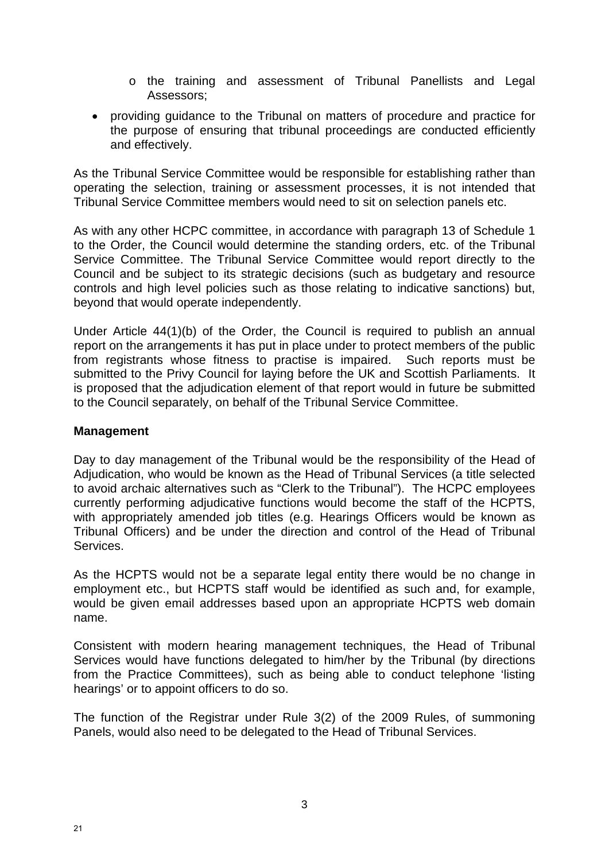- o the training and assessment of Tribunal Panellists and Legal Assessors;
- providing guidance to the Tribunal on matters of procedure and practice for the purpose of ensuring that tribunal proceedings are conducted efficiently and effectively.

As the Tribunal Service Committee would be responsible for establishing rather than operating the selection, training or assessment processes, it is not intended that Tribunal Service Committee members would need to sit on selection panels etc.

As with any other HCPC committee, in accordance with paragraph 13 of Schedule 1 to the Order, the Council would determine the standing orders, etc. of the Tribunal Service Committee. The Tribunal Service Committee would report directly to the Council and be subject to its strategic decisions (such as budgetary and resource controls and high level policies such as those relating to indicative sanctions) but, beyond that would operate independently.

Under Article 44(1)(b) of the Order, the Council is required to publish an annual report on the arrangements it has put in place under to protect members of the public from registrants whose fitness to practise is impaired. Such reports must be submitted to the Privy Council for laying before the UK and Scottish Parliaments. It is proposed that the adjudication element of that report would in future be submitted to the Council separately, on behalf of the Tribunal Service Committee.

#### **Management**

Day to day management of the Tribunal would be the responsibility of the Head of Adjudication, who would be known as the Head of Tribunal Services (a title selected to avoid archaic alternatives such as "Clerk to the Tribunal"). The HCPC employees currently performing adjudicative functions would become the staff of the HCPTS, with appropriately amended job titles (e.g. Hearings Officers would be known as Tribunal Officers) and be under the direction and control of the Head of Tribunal **Services** 

As the HCPTS would not be a separate legal entity there would be no change in employment etc., but HCPTS staff would be identified as such and, for example, would be given email addresses based upon an appropriate HCPTS web domain name.

Consistent with modern hearing management techniques, the Head of Tribunal Services would have functions delegated to him/her by the Tribunal (by directions from the Practice Committees), such as being able to conduct telephone 'listing hearings' or to appoint officers to do so.

The function of the Registrar under Rule 3(2) of the 2009 Rules, of summoning Panels, would also need to be delegated to the Head of Tribunal Services.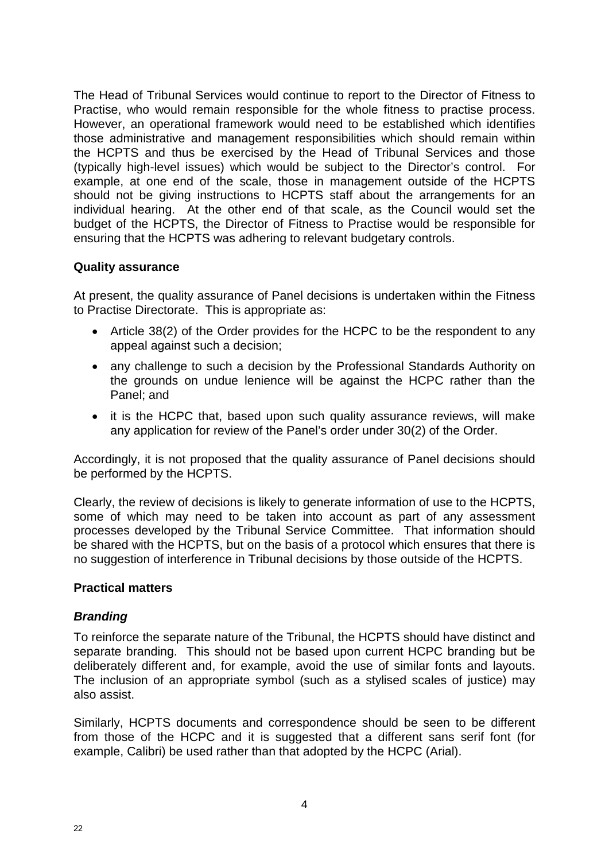The Head of Tribunal Services would continue to report to the Director of Fitness to Practise, who would remain responsible for the whole fitness to practise process. However, an operational framework would need to be established which identifies those administrative and management responsibilities which should remain within the HCPTS and thus be exercised by the Head of Tribunal Services and those (typically high-level issues) which would be subject to the Director's control. For example, at one end of the scale, those in management outside of the HCPTS should not be giving instructions to HCPTS staff about the arrangements for an individual hearing. At the other end of that scale, as the Council would set the budget of the HCPTS, the Director of Fitness to Practise would be responsible for ensuring that the HCPTS was adhering to relevant budgetary controls.

#### **Quality assurance**

At present, the quality assurance of Panel decisions is undertaken within the Fitness to Practise Directorate. This is appropriate as:

- Article 38(2) of the Order provides for the HCPC to be the respondent to any appeal against such a decision;
- any challenge to such a decision by the Professional Standards Authority on the grounds on undue lenience will be against the HCPC rather than the Panel; and
- it is the HCPC that, based upon such quality assurance reviews, will make any application for review of the Panel's order under 30(2) of the Order.

Accordingly, it is not proposed that the quality assurance of Panel decisions should be performed by the HCPTS.

Clearly, the review of decisions is likely to generate information of use to the HCPTS, some of which may need to be taken into account as part of any assessment processes developed by the Tribunal Service Committee. That information should be shared with the HCPTS, but on the basis of a protocol which ensures that there is no suggestion of interference in Tribunal decisions by those outside of the HCPTS.

#### **Practical matters**

#### *Branding*

To reinforce the separate nature of the Tribunal, the HCPTS should have distinct and separate branding. This should not be based upon current HCPC branding but be deliberately different and, for example, avoid the use of similar fonts and layouts. The inclusion of an appropriate symbol (such as a stylised scales of justice) may also assist.

Similarly, HCPTS documents and correspondence should be seen to be different from those of the HCPC and it is suggested that a different sans serif font (for example, Calibri) be used rather than that adopted by the HCPC (Arial).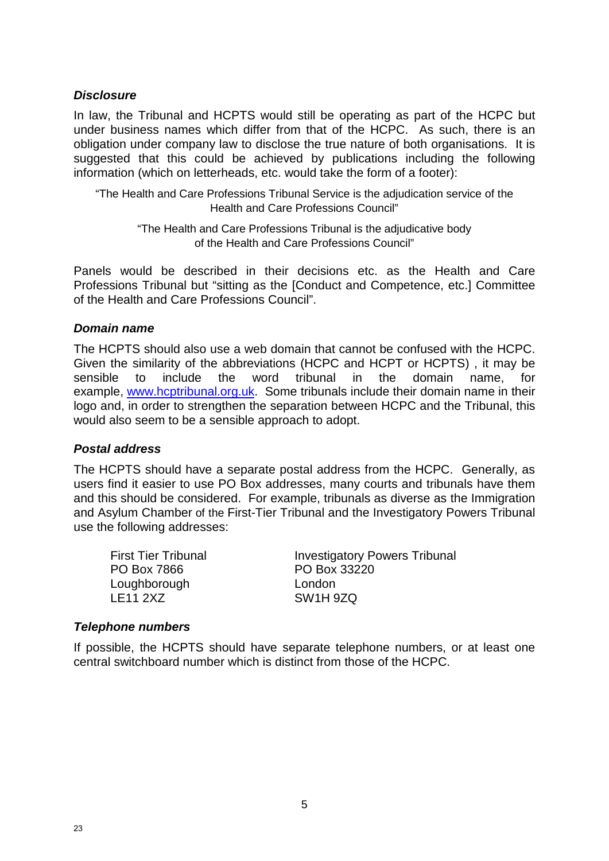#### *Disclosure*

In law, the Tribunal and HCPTS would still be operating as part of the HCPC but under business names which differ from that of the HCPC. As such, there is an obligation under company law to disclose the true nature of both organisations. It is suggested that this could be achieved by publications including the following information (which on letterheads, etc. would take the form of a footer):

"The Health and Care Professions Tribunal Service is the adjudication service of the Health and Care Professions Council"

"The Health and Care Professions Tribunal is the adjudicative body of the Health and Care Professions Council"

Panels would be described in their decisions etc. as the Health and Care Professions Tribunal but "sitting as the [Conduct and Competence, etc.] Committee of the Health and Care Professions Council".

#### *Domain name*

The HCPTS should also use a web domain that cannot be confused with the HCPC. Given the similarity of the abbreviations (HCPC and HCPT or HCPTS) , it may be sensible to include the word tribunal in the domain name, for example, www.hcptribunal.org.uk. Some tribunals include their domain name in their logo and, in order to strengthen the separation between HCPC and the Tribunal, this would also seem to be a sensible approach to adopt.

#### *Postal address*

The HCPTS should have a separate postal address from the HCPC. Generally, as users find it easier to use PO Box addresses, many courts and tribunals have them and this should be considered. For example, tribunals as diverse as the Immigration and Asylum Chamber of the First-Tier Tribunal and the Investigatory Powers Tribunal use the following addresses:

PO Box 7866 PO Box 33220 Loughborough London<br>
LE11 2XZ SW1H 9

First Tier Tribunal **Investigatory Powers Tribunal** SW1H 97Q

#### *Telephone numbers*

If possible, the HCPTS should have separate telephone numbers, or at least one central switchboard number which is distinct from those of the HCPC.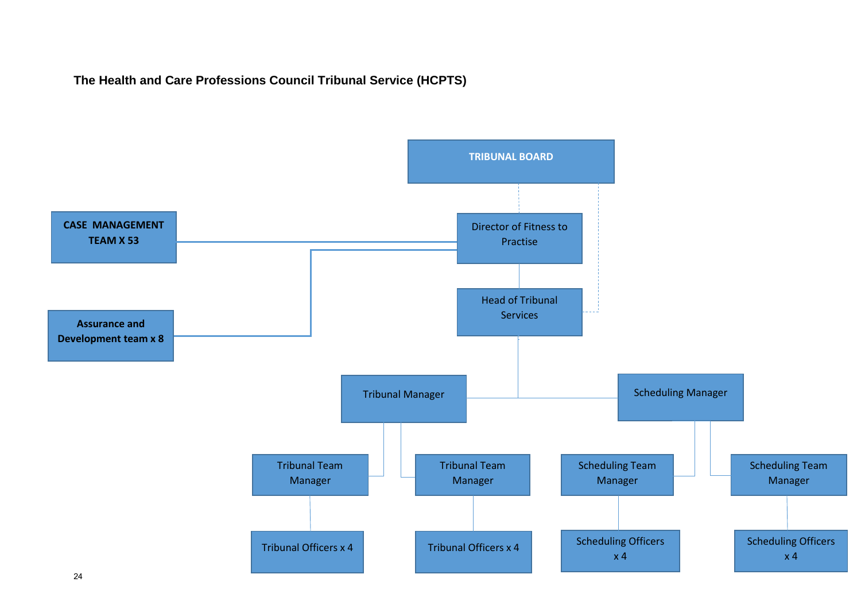## **The Health and Care Professions Council Tribunal Service (HCPTS)**

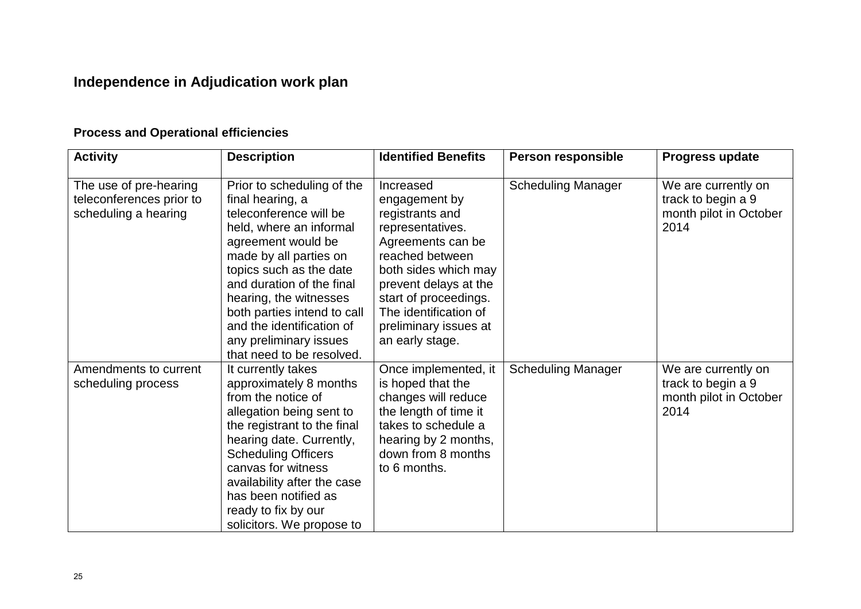# **Independence in Adjudication work plan**

# **Process and Operational efficiencies**

| <b>Activity</b>                                                            | <b>Description</b>                                                                                                                                                                                                                                                                                                                                       | <b>Identified Benefits</b>                                                                                                                                                                                                                               | <b>Person responsible</b> | Progress update                                                             |
|----------------------------------------------------------------------------|----------------------------------------------------------------------------------------------------------------------------------------------------------------------------------------------------------------------------------------------------------------------------------------------------------------------------------------------------------|----------------------------------------------------------------------------------------------------------------------------------------------------------------------------------------------------------------------------------------------------------|---------------------------|-----------------------------------------------------------------------------|
| The use of pre-hearing<br>teleconferences prior to<br>scheduling a hearing | Prior to scheduling of the<br>final hearing, a<br>teleconference will be<br>held, where an informal<br>agreement would be<br>made by all parties on<br>topics such as the date<br>and duration of the final<br>hearing, the witnesses<br>both parties intend to call<br>and the identification of<br>any preliminary issues<br>that need to be resolved. | Increased<br>engagement by<br>registrants and<br>representatives.<br>Agreements can be<br>reached between<br>both sides which may<br>prevent delays at the<br>start of proceedings.<br>The identification of<br>preliminary issues at<br>an early stage. | <b>Scheduling Manager</b> | We are currently on<br>track to begin a 9<br>month pilot in October<br>2014 |
| Amendments to current<br>scheduling process                                | It currently takes<br>approximately 8 months<br>from the notice of<br>allegation being sent to<br>the registrant to the final<br>hearing date. Currently,<br><b>Scheduling Officers</b><br>canvas for witness<br>availability after the case<br>has been notified as<br>ready to fix by our<br>solicitors. We propose to                                 | Once implemented, it<br>is hoped that the<br>changes will reduce<br>the length of time it<br>takes to schedule a<br>hearing by 2 months,<br>down from 8 months<br>to 6 months.                                                                           | <b>Scheduling Manager</b> | We are currently on<br>track to begin a 9<br>month pilot in October<br>2014 |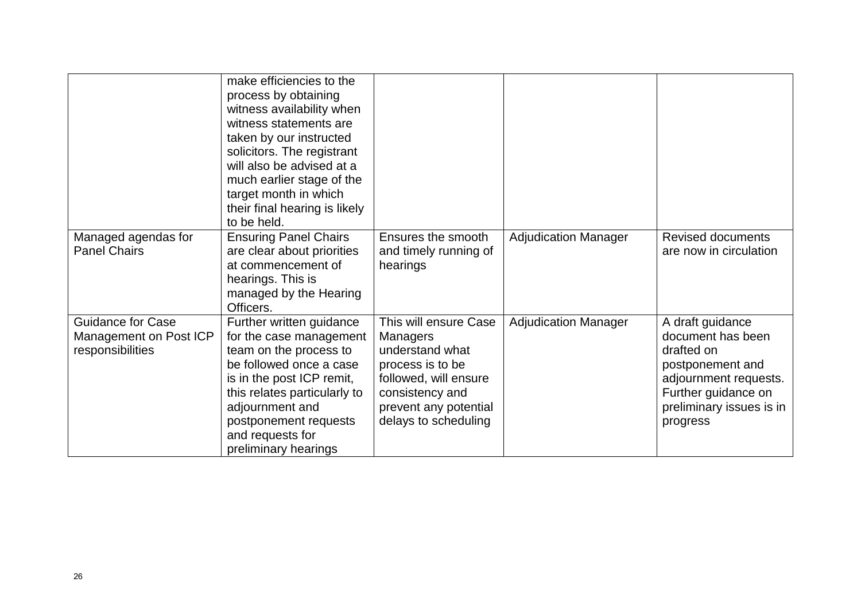|                                                                        | make efficiencies to the<br>process by obtaining<br>witness availability when<br>witness statements are<br>taken by our instructed<br>solicitors. The registrant<br>will also be advised at a<br>much earlier stage of the<br>target month in which<br>their final hearing is likely<br>to be held. |                                                                                                                                                                              |                             |                                                                                                                                                                 |
|------------------------------------------------------------------------|-----------------------------------------------------------------------------------------------------------------------------------------------------------------------------------------------------------------------------------------------------------------------------------------------------|------------------------------------------------------------------------------------------------------------------------------------------------------------------------------|-----------------------------|-----------------------------------------------------------------------------------------------------------------------------------------------------------------|
| Managed agendas for<br><b>Panel Chairs</b>                             | <b>Ensuring Panel Chairs</b><br>are clear about priorities<br>at commencement of<br>hearings. This is<br>managed by the Hearing<br>Officers.                                                                                                                                                        | Ensures the smooth<br>and timely running of<br>hearings                                                                                                                      | <b>Adjudication Manager</b> | <b>Revised documents</b><br>are now in circulation                                                                                                              |
| <b>Guidance for Case</b><br>Management on Post ICP<br>responsibilities | Further written guidance<br>for the case management<br>team on the process to<br>be followed once a case<br>is in the post ICP remit,<br>this relates particularly to<br>adjournment and<br>postponement requests<br>and requests for<br>preliminary hearings                                       | This will ensure Case<br><b>Managers</b><br>understand what<br>process is to be<br>followed, will ensure<br>consistency and<br>prevent any potential<br>delays to scheduling | <b>Adjudication Manager</b> | A draft guidance<br>document has been<br>drafted on<br>postponement and<br>adjournment requests.<br>Further guidance on<br>preliminary issues is in<br>progress |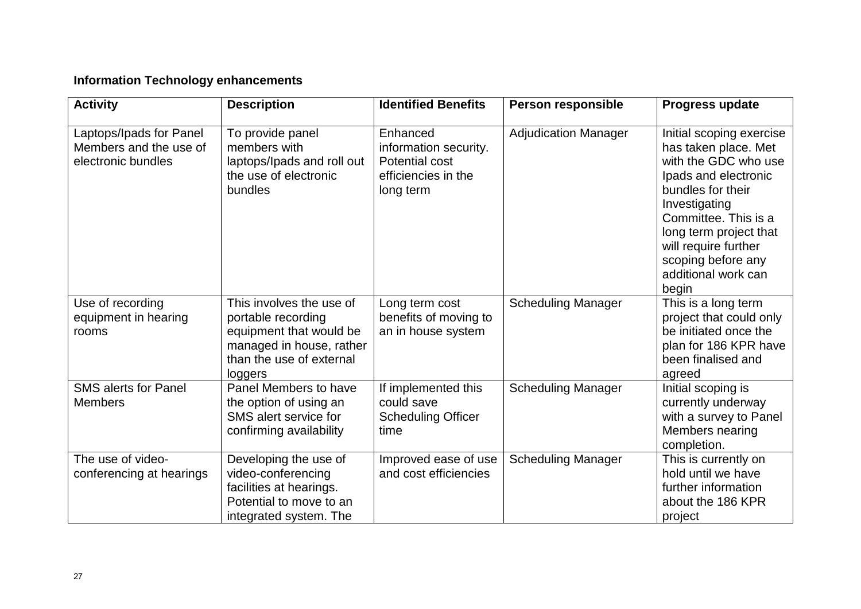## **Information Technology enhancements**

| <b>Activity</b>                                                         | <b>Description</b>                                                                                                                           | <b>Identified Benefits</b>                                                              | Person responsible          | Progress update                                                                                                                                                                                                                                                        |
|-------------------------------------------------------------------------|----------------------------------------------------------------------------------------------------------------------------------------------|-----------------------------------------------------------------------------------------|-----------------------------|------------------------------------------------------------------------------------------------------------------------------------------------------------------------------------------------------------------------------------------------------------------------|
| Laptops/Ipads for Panel<br>Members and the use of<br>electronic bundles | To provide panel<br>members with<br>laptops/Ipads and roll out<br>the use of electronic<br>bundles                                           | Enhanced<br>information security.<br>Potential cost<br>efficiencies in the<br>long term | <b>Adjudication Manager</b> | Initial scoping exercise<br>has taken place. Met<br>with the GDC who use<br>Ipads and electronic<br>bundles for their<br>Investigating<br>Committee. This is a<br>long term project that<br>will require further<br>scoping before any<br>additional work can<br>begin |
| Use of recording<br>equipment in hearing<br>rooms                       | This involves the use of<br>portable recording<br>equipment that would be<br>managed in house, rather<br>than the use of external<br>loggers | Long term cost<br>benefits of moving to<br>an in house system                           | <b>Scheduling Manager</b>   | This is a long term<br>project that could only<br>be initiated once the<br>plan for 186 KPR have<br>been finalised and<br>agreed                                                                                                                                       |
| <b>SMS alerts for Panel</b><br><b>Members</b>                           | Panel Members to have<br>the option of using an<br>SMS alert service for<br>confirming availability                                          | If implemented this<br>could save<br><b>Scheduling Officer</b><br>time                  | <b>Scheduling Manager</b>   | Initial scoping is<br>currently underway<br>with a survey to Panel<br>Members nearing<br>completion.                                                                                                                                                                   |
| The use of video-<br>conferencing at hearings                           | Developing the use of<br>video-conferencing<br>facilities at hearings.<br>Potential to move to an<br>integrated system. The                  | Improved ease of use<br>and cost efficiencies                                           | <b>Scheduling Manager</b>   | This is currently on<br>hold until we have<br>further information<br>about the 186 KPR<br>project                                                                                                                                                                      |